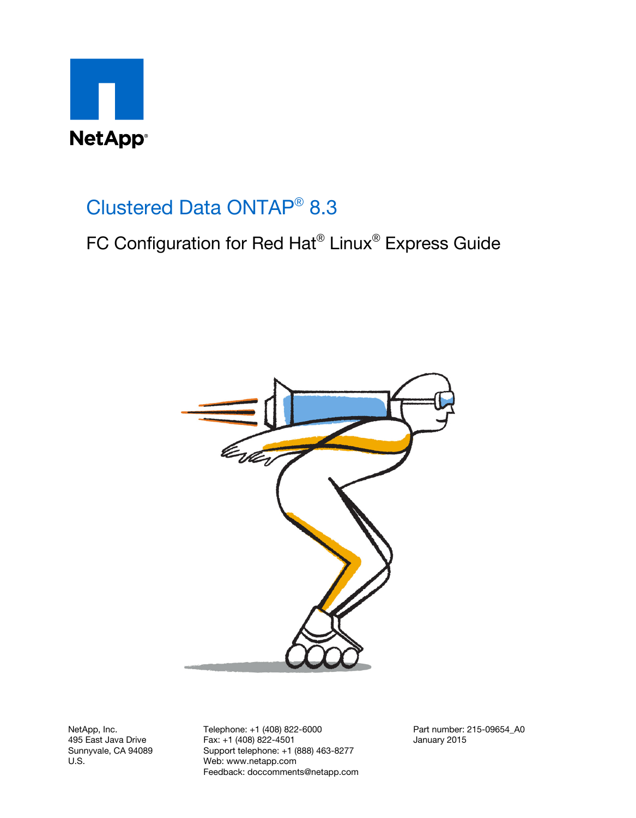

# Clustered Data ONTAP® 8.3

# FC Configuration for Red Hat® Linux® Express Guide



NetApp, Inc. 495 East Java Drive Sunnyvale, CA 94089 U.S.

Telephone: +1 (408) 822-6000 Fax: +1 (408) 822-4501 Support telephone: +1 (888) 463-8277 Web: www.netapp.com Feedback: doccomments@netapp.com Part number: 215-09654\_A0 January 2015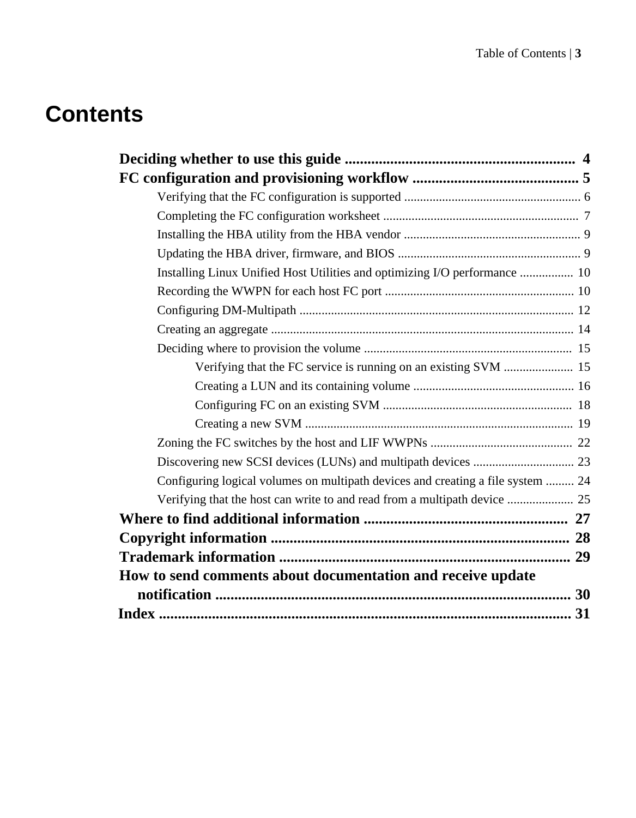# **Contents**

| Installing Linux Unified Host Utilities and optimizing I/O performance  10      |  |
|---------------------------------------------------------------------------------|--|
|                                                                                 |  |
|                                                                                 |  |
|                                                                                 |  |
|                                                                                 |  |
| Verifying that the FC service is running on an existing SVM  15                 |  |
|                                                                                 |  |
|                                                                                 |  |
|                                                                                 |  |
|                                                                                 |  |
|                                                                                 |  |
| Configuring logical volumes on multipath devices and creating a file system  24 |  |
| Verifying that the host can write to and read from a multipath device  25       |  |
|                                                                                 |  |
|                                                                                 |  |
|                                                                                 |  |
| How to send comments about documentation and receive update                     |  |
|                                                                                 |  |
|                                                                                 |  |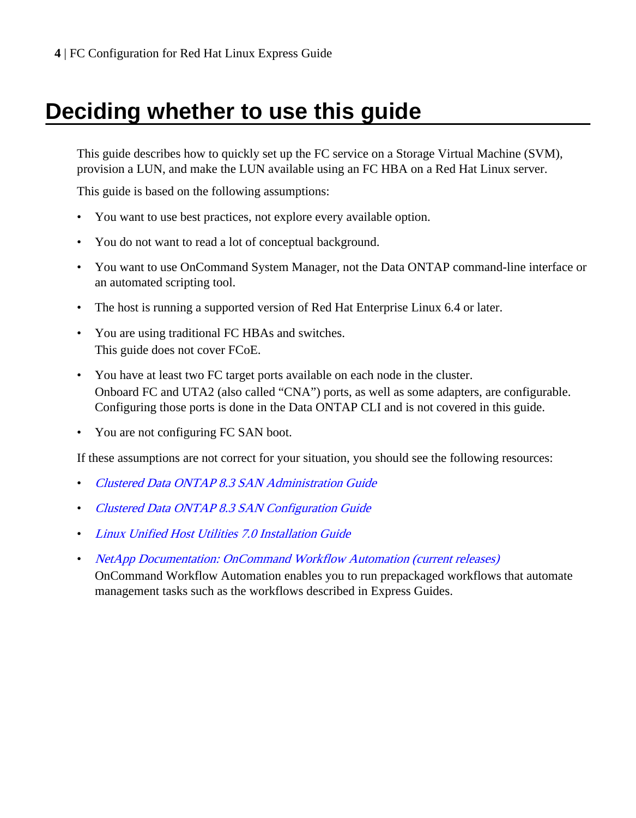# <span id="page-3-0"></span>**Deciding whether to use this guide**

This guide describes how to quickly set up the FC service on a Storage Virtual Machine (SVM), provision a LUN, and make the LUN available using an FC HBA on a Red Hat Linux server.

This guide is based on the following assumptions:

- You want to use best practices, not explore every available option.
- You do not want to read a lot of conceptual background.
- You want to use OnCommand System Manager, not the Data ONTAP command-line interface or an automated scripting tool.
- The host is running a supported version of Red Hat Enterprise Linux 6.4 or later.
- You are using traditional FC HBAs and switches. This guide does not cover FCoE.
- You have at least two FC target ports available on each node in the cluster. Onboard FC and UTA2 (also called "CNA") ports, as well as some adapters, are configurable. Configuring those ports is done in the Data ONTAP CLI and is not covered in this guide.
- You are not configuring FC SAN boot.

If these assumptions are not correct for your situation, you should see the following resources:

- [Clustered Data ONTAP 8.3 SAN Administration Guide](https://library.netapp.com/ecm/ecm_download_file/ECMP1636035)
- [Clustered Data ONTAP 8.3 SAN Configuration Guide](https://library.netapp.com/ecm/ecm_download_file/ECMP1636036)
- [Linux Unified Host Utilities 7.0 Installation Guide](https://library.netapp.com/ecm/ecm_download_file/ECMP1654941)
- [NetApp Documentation: OnCommand Workflow Automation \(current releases\)](http://mysupport.netapp.com/documentation/productlibrary/index.html?productID=61550) OnCommand Workflow Automation enables you to run prepackaged workflows that automate management tasks such as the workflows described in Express Guides.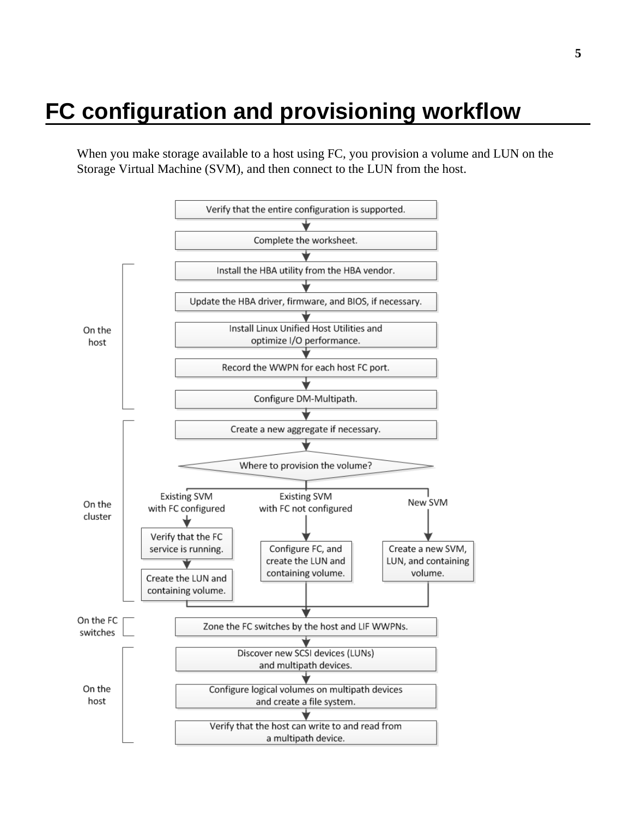# <span id="page-4-0"></span>**FC configuration and provisioning workflow**

When you make storage available to a host using FC, you provision a volume and LUN on the Storage Virtual Machine (SVM), and then connect to the LUN from the host.

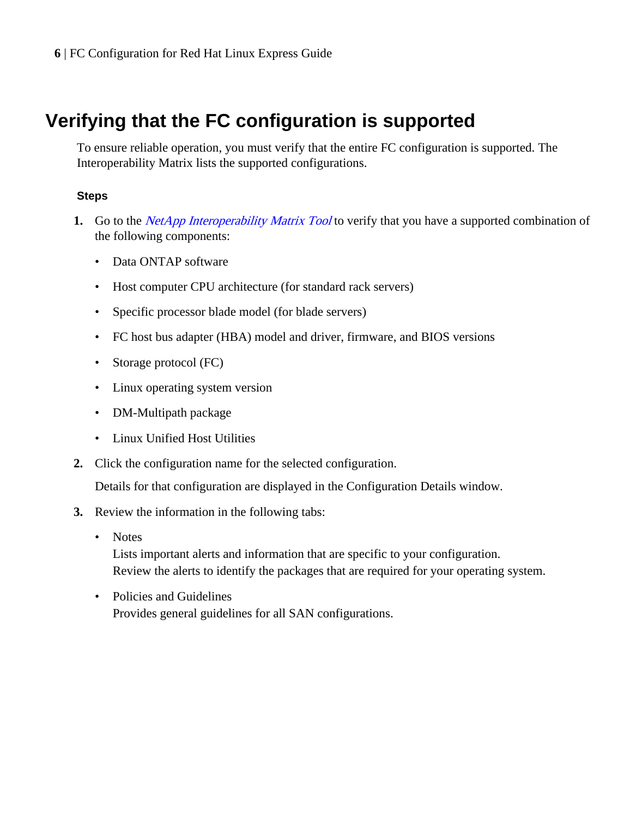# <span id="page-5-0"></span>**Verifying that the FC configuration is supported**

To ensure reliable operation, you must verify that the entire FC configuration is supported. The Interoperability Matrix lists the supported configurations.

## **Steps**

- **1.** Go to the *[NetApp Interoperability Matrix Tool](http://mysupport.netapp.com/matrix)* to verify that you have a supported combination of the following components:
	- Data ONTAP software
	- Host computer CPU architecture (for standard rack servers)
	- Specific processor blade model (for blade servers)
	- FC host bus adapter (HBA) model and driver, firmware, and BIOS versions
	- Storage protocol (FC)
	- Linux operating system version
	- DM-Multipath package
	- Linux Unified Host Utilities
- **2.** Click the configuration name for the selected configuration.

Details for that configuration are displayed in the Configuration Details window.

- **3.** Review the information in the following tabs:
	- Notes

Lists important alerts and information that are specific to your configuration. Review the alerts to identify the packages that are required for your operating system.

• Policies and Guidelines Provides general guidelines for all SAN configurations.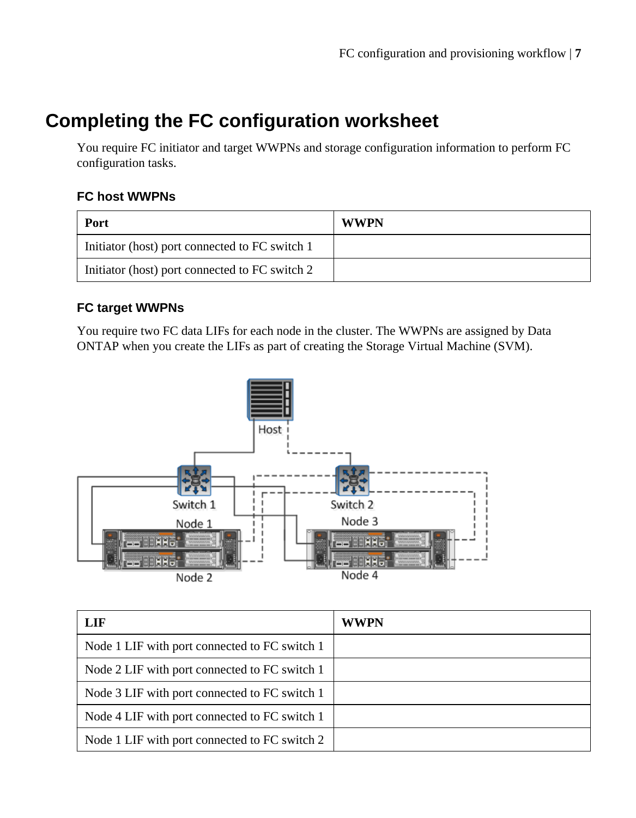# <span id="page-6-0"></span>**Completing the FC configuration worksheet**

You require FC initiator and target WWPNs and storage configuration information to perform FC configuration tasks.

## **FC host WWPNs**

| Port                                           | <b>WWPN</b> |
|------------------------------------------------|-------------|
| Initiator (host) port connected to FC switch 1 |             |
| Initiator (host) port connected to FC switch 2 |             |

## **FC target WWPNs**

You require two FC data LIFs for each node in the cluster. The WWPNs are assigned by Data ONTAP when you create the LIFs as part of creating the Storage Virtual Machine (SVM).



| LIF                                           | <b>WWPN</b> |
|-----------------------------------------------|-------------|
| Node 1 LIF with port connected to FC switch 1 |             |
| Node 2 LIF with port connected to FC switch 1 |             |
| Node 3 LIF with port connected to FC switch 1 |             |
| Node 4 LIF with port connected to FC switch 1 |             |
| Node 1 LIF with port connected to FC switch 2 |             |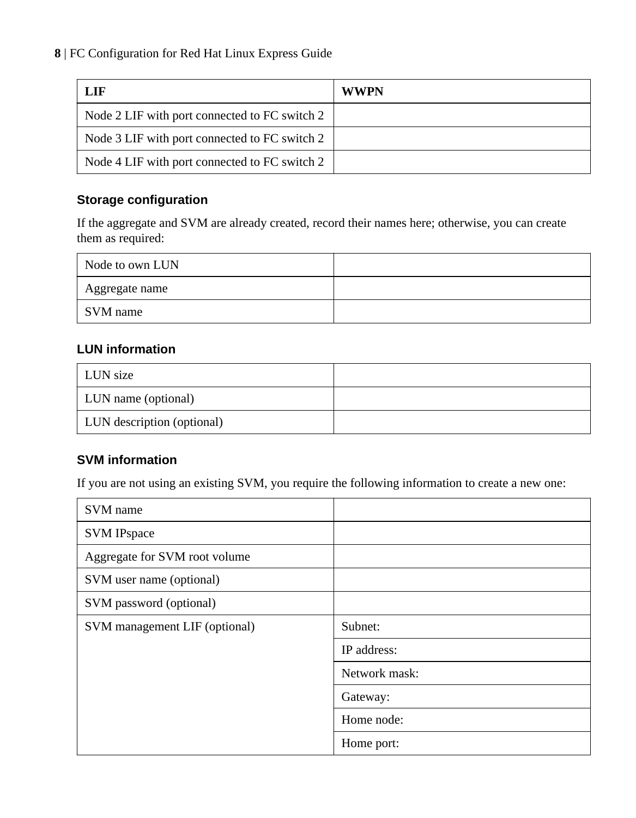| LIF                                           | <b>WWPN</b> |
|-----------------------------------------------|-------------|
| Node 2 LIF with port connected to FC switch 2 |             |
| Node 3 LIF with port connected to FC switch 2 |             |
| Node 4 LIF with port connected to FC switch 2 |             |

## **Storage configuration**

If the aggregate and SVM are already created, record their names here; otherwise, you can create them as required:

| Node to own LUN |  |
|-----------------|--|
| Aggregate name  |  |
| SVM name        |  |

## **LUN information**

| LUN size                          |  |
|-----------------------------------|--|
| LUN name (optional)               |  |
| <b>LUN</b> description (optional) |  |

## **SVM information**

If you are not using an existing SVM, you require the following information to create a new one:

| SVM name                      |               |
|-------------------------------|---------------|
| <b>SVM IPspace</b>            |               |
| Aggregate for SVM root volume |               |
| SVM user name (optional)      |               |
| SVM password (optional)       |               |
| SVM management LIF (optional) | Subnet:       |
|                               | IP address:   |
|                               | Network mask: |
|                               | Gateway:      |
|                               | Home node:    |
|                               | Home port:    |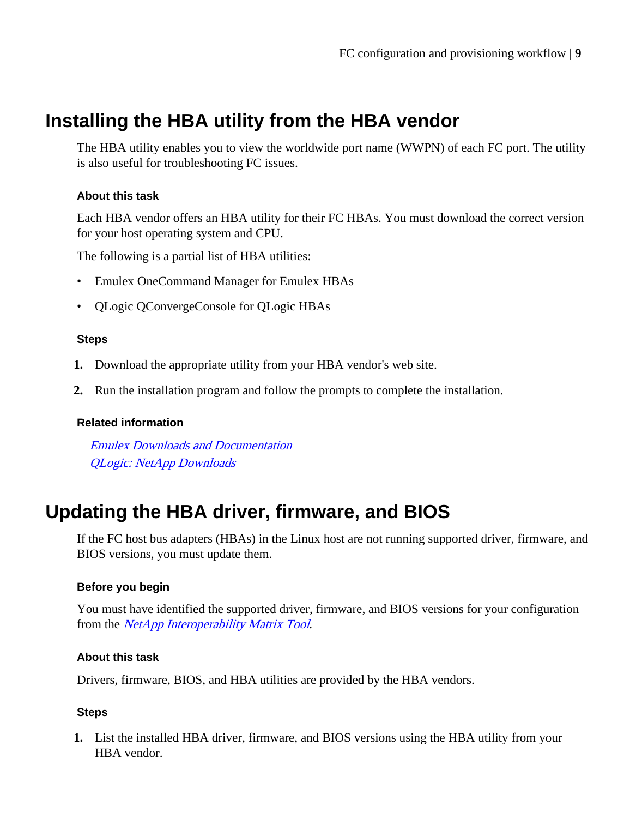# <span id="page-8-0"></span>**Installing the HBA utility from the HBA vendor**

The HBA utility enables you to view the worldwide port name (WWPN) of each FC port. The utility is also useful for troubleshooting FC issues.

## **About this task**

Each HBA vendor offers an HBA utility for their FC HBAs. You must download the correct version for your host operating system and CPU.

The following is a partial list of HBA utilities:

- Emulex OneCommand Manager for Emulex HBAs
- QLogic QConvergeConsole for QLogic HBAs

#### **Steps**

- **1.** Download the appropriate utility from your HBA vendor's web site.
- **2.** Run the installation program and follow the prompts to complete the installation.

#### **Related information**

[Emulex Downloads and Documentation](http://www.emulex.com/downloads) [QLogic: NetApp Downloads](http://driverdownloads.qlogic.com/QLogicDriverDownloads_UI/OEM_Product_List.aspx?oemid=372)

# **Updating the HBA driver, firmware, and BIOS**

If the FC host bus adapters (HBAs) in the Linux host are not running supported driver, firmware, and BIOS versions, you must update them.

#### **Before you begin**

You must have identified the supported driver, firmware, and BIOS versions for your configuration from the *[NetApp Interoperability Matrix Tool](http://mysupport.netapp.com/matrix)*.

#### **About this task**

Drivers, firmware, BIOS, and HBA utilities are provided by the HBA vendors.

#### **Steps**

**1.** List the installed HBA driver, firmware, and BIOS versions using the HBA utility from your HBA vendor.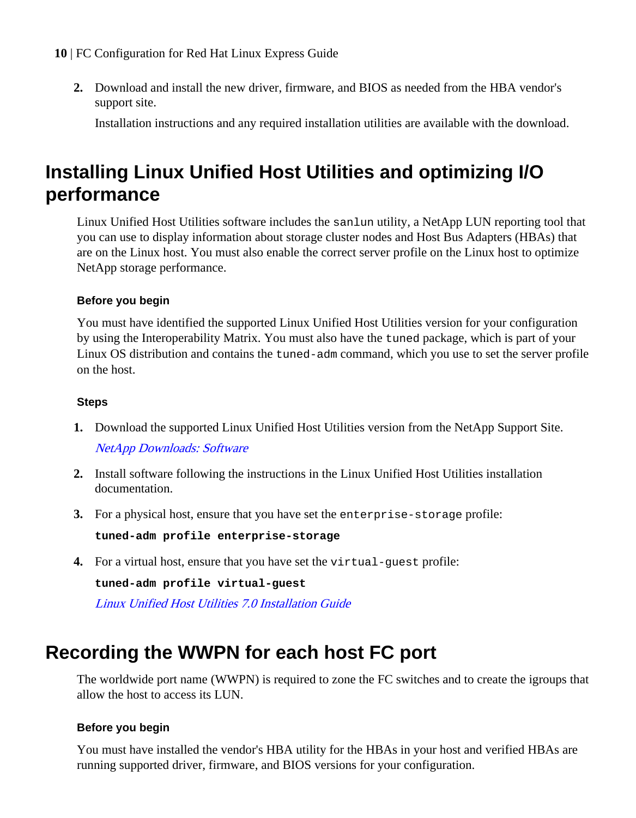<span id="page-9-0"></span>**2.** Download and install the new driver, firmware, and BIOS as needed from the HBA vendor's support site.

Installation instructions and any required installation utilities are available with the download.

# **Installing Linux Unified Host Utilities and optimizing I/O performance**

Linux Unified Host Utilities software includes the sanlun utility, a NetApp LUN reporting tool that you can use to display information about storage cluster nodes and Host Bus Adapters (HBAs) that are on the Linux host. You must also enable the correct server profile on the Linux host to optimize NetApp storage performance.

## **Before you begin**

You must have identified the supported Linux Unified Host Utilities version for your configuration by using the Interoperability Matrix. You must also have the tuned package, which is part of your Linux OS distribution and contains the tuned-adm command, which you use to set the server profile on the host.

## **Steps**

- **1.** Download the supported Linux Unified Host Utilities version from the NetApp Support Site. [NetApp Downloads: Software](http://mysupport.netapp.com/NOW/cgi-bin/software)
- **2.** Install software following the instructions in the Linux Unified Host Utilities installation documentation.
- **3.** For a physical host, ensure that you have set the enterprise-storage profile:

**tuned-adm profile enterprise-storage**

**4.** For a virtual host, ensure that you have set the virtual-guest profile:

**tuned-adm profile virtual-guest**

[Linux Unified Host Utilities 7.0 Installation Guide](https://library.netapp.com/ecm/ecm_download_file/ECMP1654941)

# **Recording the WWPN for each host FC port**

The worldwide port name (WWPN) is required to zone the FC switches and to create the igroups that allow the host to access its LUN.

## **Before you begin**

You must have installed the vendor's HBA utility for the HBAs in your host and verified HBAs are running supported driver, firmware, and BIOS versions for your configuration.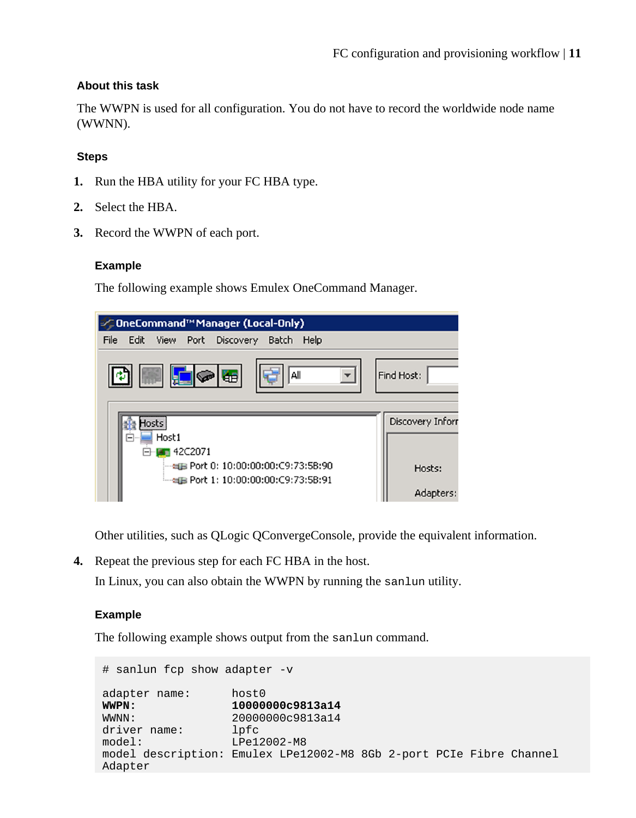## **About this task**

The WWPN is used for all configuration. You do not have to record the worldwide node name (WWNN).

## **Steps**

- **1.** Run the HBA utility for your FC HBA type.
- **2.** Select the HBA.
- **3.** Record the WWPN of each port.

### **Example**

The following example shows Emulex OneCommand Manager.

|      |      |                            |                |       | <b>∕ OneCommand™Manager (Local-Only)</b>                                                   |      |                     |
|------|------|----------------------------|----------------|-------|--------------------------------------------------------------------------------------------|------|---------------------|
| File | Edit |                            |                |       | View Port Discovery Batch                                                                  | Help |                     |
|      |      | -151                       |                | IG HE | All                                                                                        |      | Find Host:          |
|      | ⊢⊦   | Hosts<br>Host <sub>1</sub> | <b>42C2071</b> |       |                                                                                            |      | Discovery Inforr    |
|      |      |                            |                |       | ം - പല Port 0: 10:00:00:00:C9:73:5B:90<br><sup>:…</sup> ∞⊞ Port 1: 10:00:00:00:C9:73:5B:91 |      | Hosts:<br>Adapters: |

Other utilities, such as QLogic QConvergeConsole, provide the equivalent information.

**4.** Repeat the previous step for each FC HBA in the host.

In Linux, you can also obtain the WWPN by running the sanlun utility.

### **Example**

The following example shows output from the sanlun command.

```
# sanlun fcp show adapter -v
adapter name: host0<br>WWPN: 10000
WWPN: 10000000c9813a14<br>WWWW: 2000000c9813a14
                   WWNN: 20000000c9813a14
driver name: lpfc
model: LPe12002-M8
model description: Emulex LPe12002-M8 8Gb 2-port PCIe Fibre Channel 
Adapter
```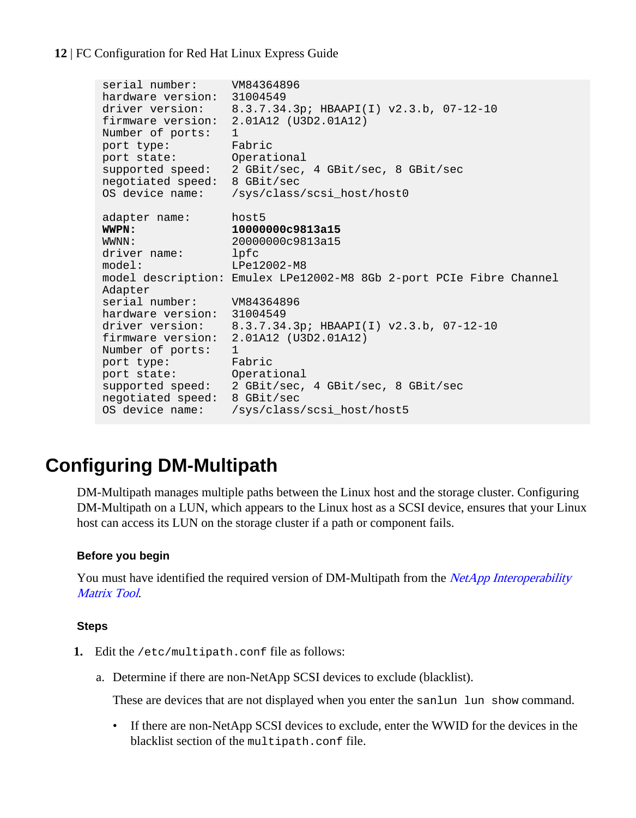```
serial number: VM84364896
hardware version: 31004549
driver version: 8.3.7.34.3p; HBAAPI(I) v2.3.b, 07-12-10
firmware version: 2.01A12 (U3D2.01A12)
Number of ports: 1
port type: Fabric
port state: Operational
supported speed: 2 GBit/sec, 4 GBit/sec, 8 GBit/sec
negotiated speed: 8 GBit/sec
OS device name: /sys/class/scsi_host/host0
adapter name: host5
WWPN: 10000000c9813a15
WWNN: 20000000c9813a15
driver name: lpfc
model: LPe12002-M8
model description: Emulex LPe12002-M8 8Gb 2-port PCIe Fibre Channel 
Adapter
serial number: VM84364896
hardware version: 31004549
driver version: 8.3.7.34.3p; HBAAPI(I) v2.3.b, 07-12-10
firmware version: 2.01A12 (U3D2.01A12)
Number of ports: 1
port type: Fabric
port state: Operational
supported speed: 2 GBit/sec, 4 GBit/sec, 8 GBit/sec
negotiated speed: 8 GBit/sec
OS device name: /sys/class/scsi_host/host5
```
# **Configuring DM-Multipath**

DM-Multipath manages multiple paths between the Linux host and the storage cluster. Configuring DM-Multipath on a LUN, which appears to the Linux host as a SCSI device, ensures that your Linux host can access its LUN on the storage cluster if a path or component fails.

## **Before you begin**

You must have identified the required version of DM-Multipath from the *[NetApp Interoperability](http://mysupport.netapp.com/matrix)* [Matrix Tool](http://mysupport.netapp.com/matrix).

### **Steps**

- **1.** Edit the /etc/multipath.conf file as follows:
	- a. Determine if there are non-NetApp SCSI devices to exclude (blacklist).

These are devices that are not displayed when you enter the sanlun lun show command.

• If there are non-NetApp SCSI devices to exclude, enter the WWID for the devices in the blacklist section of the multipath.conf file.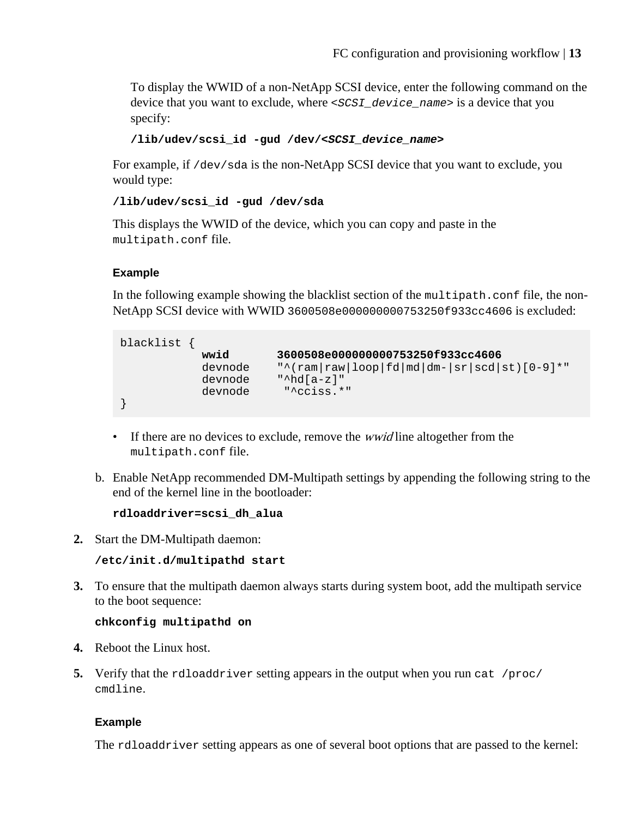To display the WWID of a non-NetApp SCSI device, enter the following command on the device that you want to exclude, where <SCSI\_device\_name> is a device that you specify:

```
/lib/udev/scsi_id -gud /dev/<SCSI_device_name>
```
For example, if /dev/sda is the non-NetApp SCSI device that you want to exclude, you would type:

```
/lib/udev/scsi_id -gud /dev/sda
```
This displays the WWID of the device, which you can copy and paste in the multipath.conf file.

## **Example**

In the following example showing the blacklist section of the multipath.conf file, the non-NetApp SCSI device with WWID 3600508e000000000753250f933cc4606 is excluded:

```
blacklist {
 wwid 3600508e000000000753250f933cc4606
 devnode "^(ram|raw|loop|fd|md|dm-|sr|scd|st)[0-9]*"
 devnode "^hd[a-z]"
          devnode "^cciss.*"
}
```
- If there are no devices to exclude, remove the *wwid* line altogether from the multipath.conf file.
- b. Enable NetApp recommended DM-Multipath settings by appending the following string to the end of the kernel line in the bootloader:

```
rdloaddriver=scsi_dh_alua
```
**2.** Start the DM-Multipath daemon:

```
/etc/init.d/multipathd start
```
**3.** To ensure that the multipath daemon always starts during system boot, add the multipath service to the boot sequence:

### **chkconfig multipathd on**

- **4.** Reboot the Linux host.
- **5.** Verify that the rdloaddriver setting appears in the output when you run cat /proc/ cmdline.

## **Example**

The rdloaddriver setting appears as one of several boot options that are passed to the kernel: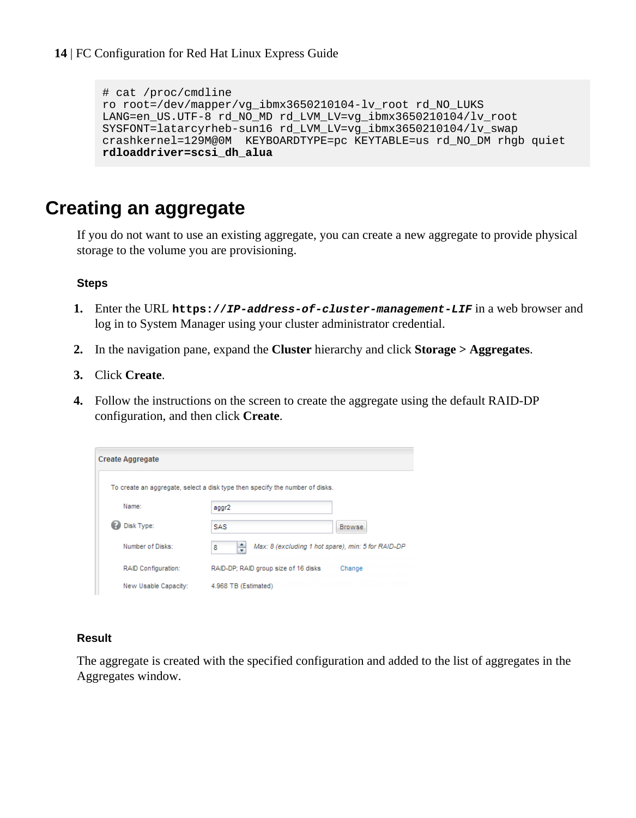```
# cat /proc/cmdline
ro root=/dev/mapper/vg_ibmx3650210104-lv_root rd_NO_LUKS 
LANG=en_US.UTF-8 rd_NO_MD rd_LVM_LV=vg_ibmx3650210104/lv_root
SYSFONT=latarcyrheb-sun16 rd_LVM_LV=vg_ibmx3650210104/lv_swap 
crashkernel=129M@0M KEYBOARDTYPE=pc KEYTABLE=us rd_NO_DM rhgb quiet 
rdloaddriver=scsi_dh_alua
```
# **Creating an aggregate**

If you do not want to use an existing aggregate, you can create a new aggregate to provide physical storage to the volume you are provisioning.

### **Steps**

- **1.** Enter the URL **https://IP-address-of-cluster-management-LIF** in a web browser and log in to System Manager using your cluster administrator credential.
- **2.** In the navigation pane, expand the **Cluster** hierarchy and click **Storage > Aggregates**.
- **3.** Click **Create**.
- **4.** Follow the instructions on the screen to create the aggregate using the default RAID-DP configuration, and then click **Create**.

| <b>Create Aggregate</b>    |                                                                              |               |
|----------------------------|------------------------------------------------------------------------------|---------------|
|                            | To create an aggregate, select a disk type then specify the number of disks. |               |
| Name:                      | aggr2                                                                        |               |
| Disk Type:                 | <b>SAS</b>                                                                   | <b>Browse</b> |
| Number of Disks:           | ÷<br>Max: 8 (excluding 1 hot spare), min: 5 for RAID-DP<br>8                 |               |
| <b>RAID Configuration:</b> | RAID-DP; RAID group size of 16 disks                                         | Change        |
| New Usable Capacity:       | 4.968 TB (Estimated)                                                         |               |

### **Result**

The aggregate is created with the specified configuration and added to the list of aggregates in the Aggregates window.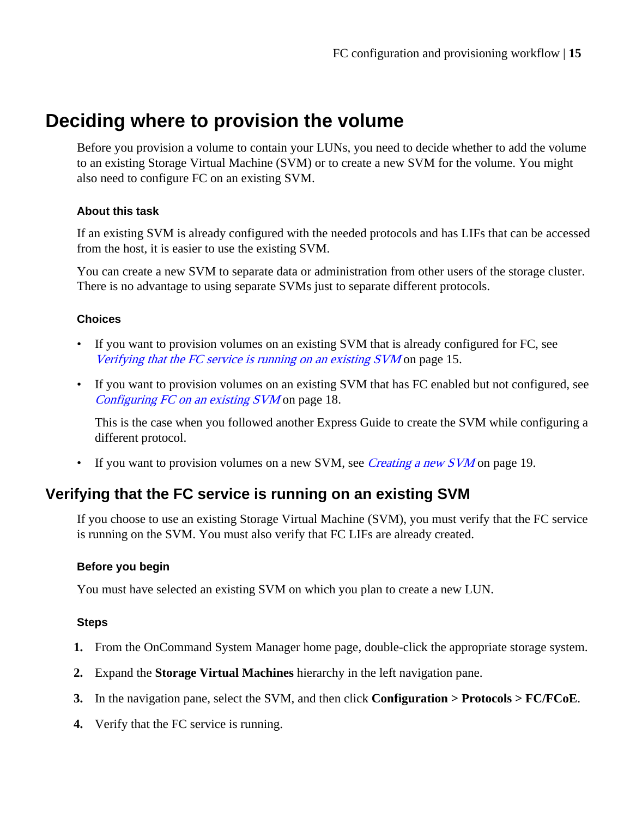# <span id="page-14-0"></span>**Deciding where to provision the volume**

Before you provision a volume to contain your LUNs, you need to decide whether to add the volume to an existing Storage Virtual Machine (SVM) or to create a new SVM for the volume. You might also need to configure FC on an existing SVM.

## **About this task**

If an existing SVM is already configured with the needed protocols and has LIFs that can be accessed from the host, it is easier to use the existing SVM.

You can create a new SVM to separate data or administration from other users of the storage cluster. There is no advantage to using separate SVMs just to separate different protocols.

## **Choices**

- If you want to provision volumes on an existing SVM that is already configured for FC, see Verifying that the FC service is running on an existing SVM on page 15.
- If you want to provision volumes on an existing SVM that has FC enabled but not configured, see [Configuring FC on an existing SVM](#page-17-0) on page 18.

This is the case when you followed another Express Guide to create the SVM while configuring a different protocol.

• If you want to provision volumes on a new SVM, see *[Creating a new SVM](#page-18-0)* on page 19.

## **Verifying that the FC service is running on an existing SVM**

If you choose to use an existing Storage Virtual Machine (SVM), you must verify that the FC service is running on the SVM. You must also verify that FC LIFs are already created.

## **Before you begin**

You must have selected an existing SVM on which you plan to create a new LUN.

## **Steps**

- **1.** From the OnCommand System Manager home page, double-click the appropriate storage system.
- **2.** Expand the **Storage Virtual Machines** hierarchy in the left navigation pane.
- **3.** In the navigation pane, select the SVM, and then click **Configuration > Protocols > FC/FCoE**.
- **4.** Verify that the FC service is running.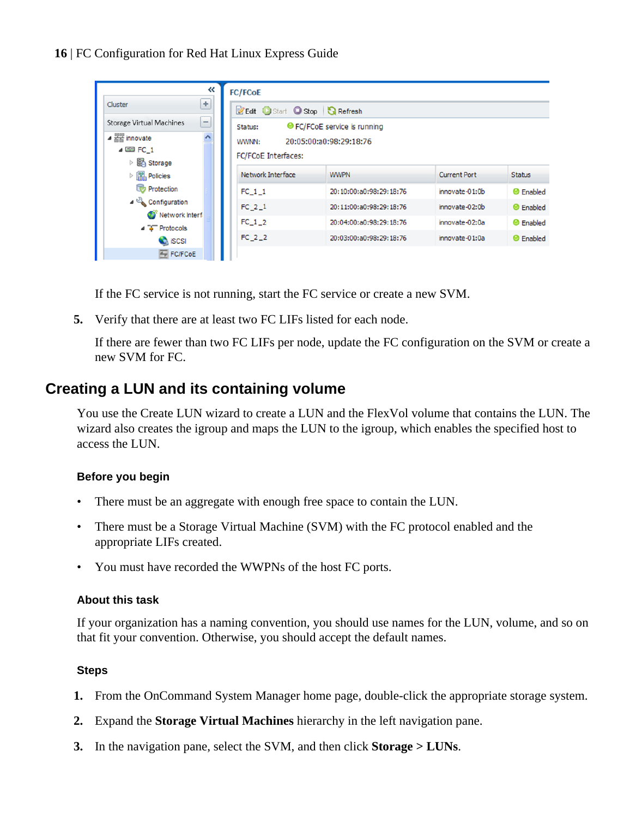<span id="page-15-0"></span>

| «                                                                            | <b>FC/FCoE</b>                                                           |                              |                |                  |  |  |
|------------------------------------------------------------------------------|--------------------------------------------------------------------------|------------------------------|----------------|------------------|--|--|
| ÷<br>Cluster                                                                 | <b>Z</b> Edit Start Stop <b>G</b> Refresh                                |                              |                |                  |  |  |
| -<br><b>Storage Virtual Machines</b>                                         | Status:                                                                  | ● FC/FCoE service is running |                |                  |  |  |
| $\hat{}$<br>$\triangleq \frac{m}{\sqrt{mn}}$ innovate<br>$\triangle$ EE FC 1 | WWNN:<br>FC/FCoE Interfaces:                                             | 20:05:00:a0:98:29:18:76      |                |                  |  |  |
| ▷ 图 Storage<br>$\triangleright$ $\frac{100}{100}$ Policies                   | Network Interface<br><b>Current Port</b><br><b>WWPN</b><br><b>Status</b> |                              |                |                  |  |  |
| Protection                                                                   | $FC_1_1$                                                                 | 20:10:00:a0:98:29:18:76      | innovate-01:0b | <b>O</b> Enabled |  |  |
| ⊿ Configuration<br>Network Interf                                            | $FC 2_1$                                                                 | 20:11:00:a0:98:29:18:76      | innovate-02:0b | $\Theta$ Enabled |  |  |
| $\triangle$ $\rightarrow$ Protocols                                          | FC 1 2                                                                   | 20:04:00:a0:98:29:18:76      | innovate-02:0a | <b>O</b> Enabled |  |  |
| <b>C</b> iSCSI                                                               | $FC_2_2$                                                                 | 20:03:00:a0:98:29:18:76      | innovate-01:0a | $\Theta$ Enabled |  |  |
| FC/FCoE                                                                      |                                                                          |                              |                |                  |  |  |

If the FC service is not running, start the FC service or create a new SVM.

**5.** Verify that there are at least two FC LIFs listed for each node.

If there are fewer than two FC LIFs per node, update the FC configuration on the SVM or create a new SVM for FC.

## **Creating a LUN and its containing volume**

You use the Create LUN wizard to create a LUN and the FlexVol volume that contains the LUN. The wizard also creates the igroup and maps the LUN to the igroup, which enables the specified host to access the LUN.

## **Before you begin**

- There must be an aggregate with enough free space to contain the LUN.
- There must be a Storage Virtual Machine (SVM) with the FC protocol enabled and the appropriate LIFs created.
- You must have recorded the WWPNs of the host FC ports.

### **About this task**

If your organization has a naming convention, you should use names for the LUN, volume, and so on that fit your convention. Otherwise, you should accept the default names.

### **Steps**

- **1.** From the OnCommand System Manager home page, double-click the appropriate storage system.
- **2.** Expand the **Storage Virtual Machines** hierarchy in the left navigation pane.
- **3.** In the navigation pane, select the SVM, and then click **Storage > LUNs**.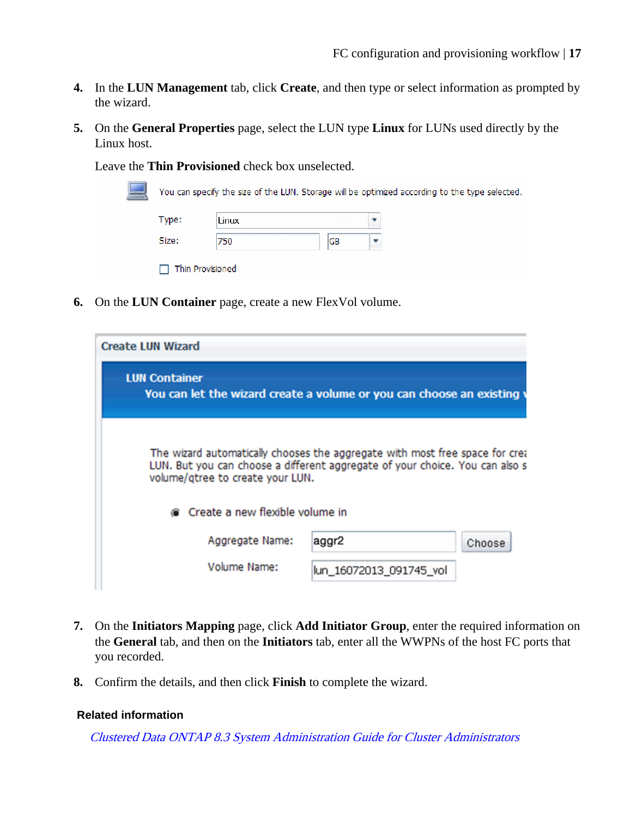- **4.** In the **LUN Management** tab, click **Create**, and then type or select information as prompted by the wizard.
- **5.** On the **General Properties** page, select the LUN type **Linux** for LUNs used directly by the Linux host.

Leave the **Thin Provisioned** check box unselected.

| Type:        | Linux |    |  |
|--------------|-------|----|--|
|              |       |    |  |
| Size:<br>750 |       | GB |  |

**6.** On the **LUN Container** page, create a new FlexVol volume.

| <b>Create LUN Wizard</b>                                                                                                                                                                         |                         |        |  |  |
|--------------------------------------------------------------------------------------------------------------------------------------------------------------------------------------------------|-------------------------|--------|--|--|
| <b>LUN Container</b><br>You can let the wizard create a volume or you can choose an existing                                                                                                     |                         |        |  |  |
| The wizard automatically chooses the aggregate with most free space for crea<br>LUN. But you can choose a different aggregate of your choice. You can also s<br>volume/gtree to create your LUN. |                         |        |  |  |
| Create a new flexible volume in                                                                                                                                                                  |                         |        |  |  |
| Aggregate Name:                                                                                                                                                                                  | aggr2                   | Choose |  |  |
| Volume Name:                                                                                                                                                                                     | lun 16072013 091745 vol |        |  |  |

- **7.** On the **Initiators Mapping** page, click **Add Initiator Group**, enter the required information on the **General** tab, and then on the **Initiators** tab, enter all the WWPNs of the host FC ports that you recorded.
- **8.** Confirm the details, and then click **Finish** to complete the wizard.

#### **Related information**

[Clustered Data ONTAP 8.3 System Administration Guide for Cluster Administrators](https://library.netapp.com/ecm/ecm_download_file/ECMP1636037)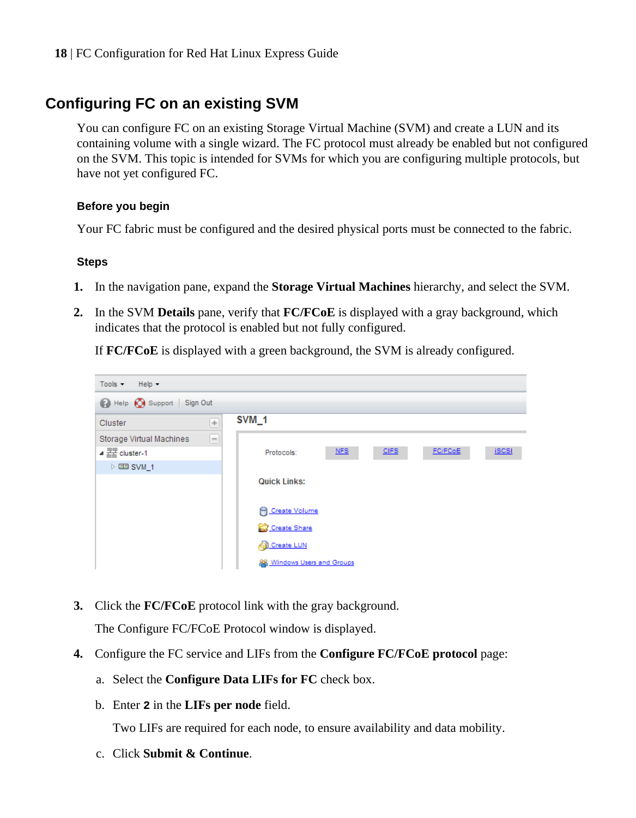## <span id="page-17-0"></span>**Configuring FC on an existing SVM**

You can configure FC on an existing Storage Virtual Machine (SVM) and create a LUN and its containing volume with a single wizard. The FC protocol must already be enabled but not configured on the SVM. This topic is intended for SVMs for which you are configuring multiple protocols, but have not yet configured FC.

## **Before you begin**

Your FC fabric must be configured and the desired physical ports must be connected to the fabric.

## **Steps**

- **1.** In the navigation pane, expand the **Storage Virtual Machines** hierarchy, and select the SVM.
- **2.** In the SVM **Details** pane, verify that **FC/FCoE** is displayed with a gray background, which indicates that the protocol is enabled but not fully configured.

If **FC/FCoE** is displayed with a green background, the SVM is already configured.



**3.** Click the **FC/FCoE** protocol link with the gray background.

The Configure FC/FCoE Protocol window is displayed.

- **4.** Configure the FC service and LIFs from the **Configure FC/FCoE protocol** page:
	- a. Select the **Configure Data LIFs for FC** check box.
	- b. Enter **2** in the **LIFs per node** field.

Two LIFs are required for each node, to ensure availability and data mobility.

c. Click **Submit & Continue**.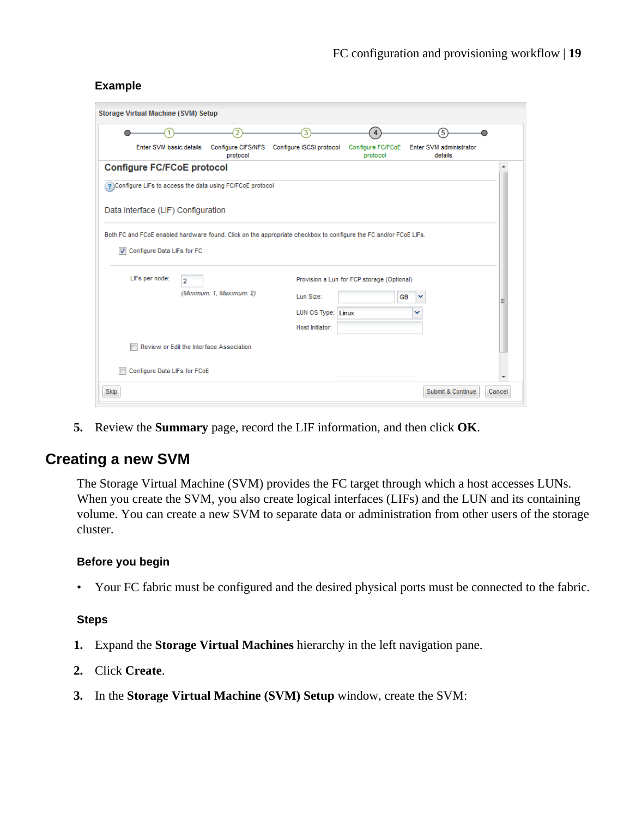## <span id="page-18-0"></span>**Example**

|                | <b>Storage Virtual Machine (SVM) Setup</b> |                |                                                            |                                                                                                                  |                                            |                                    |  |
|----------------|--------------------------------------------|----------------|------------------------------------------------------------|------------------------------------------------------------------------------------------------------------------|--------------------------------------------|------------------------------------|--|
|                |                                            |                | 2                                                          | 3                                                                                                                | 4                                          | 5                                  |  |
|                | Enter SVM basic details                    |                | <b>Configure CIFS/NFS</b><br>protocol                      | Configure iSCSI protocol                                                                                         | <b>Configure FC/FCoE</b><br>protocol       | Enter SVM administrator<br>details |  |
|                | <b>Configure FC/FCoE protocol</b>          |                |                                                            |                                                                                                                  |                                            |                                    |  |
|                |                                            |                | ? Configure LIFs to access the data using FC/FCoE protocol |                                                                                                                  |                                            |                                    |  |
|                | Data Interface (LIF) Configuration         |                |                                                            |                                                                                                                  |                                            |                                    |  |
|                |                                            |                |                                                            | Both FC and FCoE enabled hardware found. Click on the appropriate checkbox to configure the FC and/or FCoE LIFs. |                                            |                                    |  |
| $\overline{v}$ | Configure Data LIFs for FC                 |                |                                                            |                                                                                                                  |                                            |                                    |  |
|                |                                            |                |                                                            |                                                                                                                  |                                            |                                    |  |
|                | LIFs per node:                             | $\overline{2}$ |                                                            |                                                                                                                  | Provision a Lun for FCP storage (Optional) |                                    |  |
|                |                                            |                | (Minimum: 1, Maximum: 2)                                   | Lun Size:                                                                                                        | <b>GB</b>                                  |                                    |  |
|                |                                            |                |                                                            | LUN OS Type: Linux                                                                                               |                                            | v                                  |  |
|                |                                            |                |                                                            |                                                                                                                  |                                            |                                    |  |
|                |                                            |                |                                                            | Host Initiator:                                                                                                  |                                            |                                    |  |
|                |                                            |                | Review or Edit the Interface Association                   |                                                                                                                  |                                            |                                    |  |
|                |                                            |                |                                                            |                                                                                                                  |                                            |                                    |  |
|                | Configure Data LIFs for FCoE               |                |                                                            |                                                                                                                  |                                            |                                    |  |

**5.** Review the **Summary** page, record the LIF information, and then click **OK**.

## **Creating a new SVM**

The Storage Virtual Machine (SVM) provides the FC target through which a host accesses LUNs. When you create the SVM, you also create logical interfaces (LIFs) and the LUN and its containing volume. You can create a new SVM to separate data or administration from other users of the storage cluster.

### **Before you begin**

• Your FC fabric must be configured and the desired physical ports must be connected to the fabric.

### **Steps**

- **1.** Expand the **Storage Virtual Machines** hierarchy in the left navigation pane.
- **2.** Click **Create**.
- **3.** In the **Storage Virtual Machine (SVM) Setup** window, create the SVM: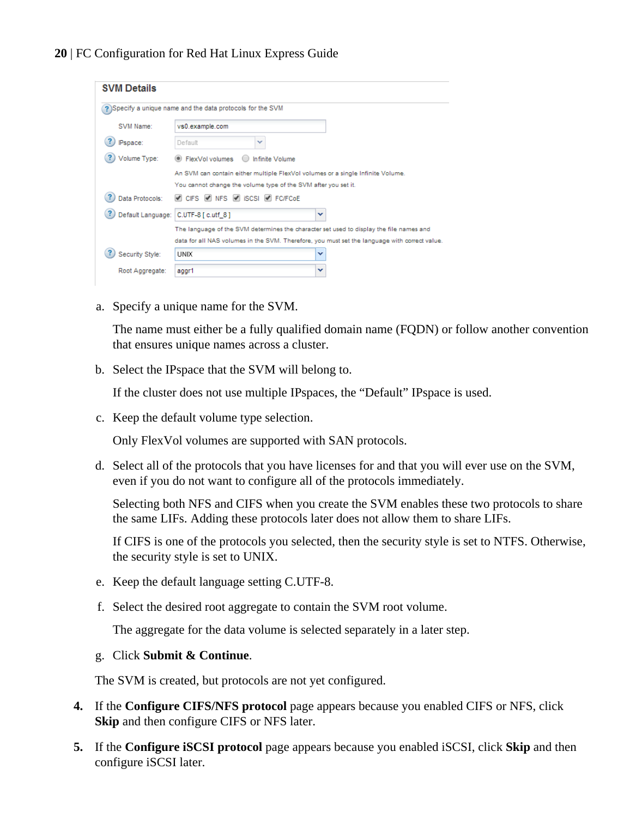| <b>SVM Details</b> |                                                                                                                                                                                          |  |  |  |  |  |  |
|--------------------|------------------------------------------------------------------------------------------------------------------------------------------------------------------------------------------|--|--|--|--|--|--|
|                    | ? Specify a unique name and the data protocols for the SVM                                                                                                                               |  |  |  |  |  |  |
| SVM Name:          | vs0.example.com                                                                                                                                                                          |  |  |  |  |  |  |
| <b>IPspace:</b>    | Default<br>v                                                                                                                                                                             |  |  |  |  |  |  |
| Volume Type:       | <b>ElexVol volumes</b><br>Infinite Volume                                                                                                                                                |  |  |  |  |  |  |
|                    | An SVM can contain either multiple FlexVol volumes or a single Infinite Volume.<br>You cannot change the volume type of the SVM after you set it.                                        |  |  |  |  |  |  |
| Data Protocols:    | CIFS V NFS V ISCSI V FC/FCOE                                                                                                                                                             |  |  |  |  |  |  |
|                    | Default Language: C.UTF-8 [ c.utf 8]<br>v                                                                                                                                                |  |  |  |  |  |  |
|                    | The language of the SVM determines the character set used to display the file names and<br>data for all NAS volumes in the SVM. Therefore, you must set the language with correct value. |  |  |  |  |  |  |
| Security Style:    | <b>UNIX</b><br>v                                                                                                                                                                         |  |  |  |  |  |  |
| Root Aggregate:    | aggr1<br>v                                                                                                                                                                               |  |  |  |  |  |  |

a. Specify a unique name for the SVM.

The name must either be a fully qualified domain name (FQDN) or follow another convention that ensures unique names across a cluster.

b. Select the IPspace that the SVM will belong to.

If the cluster does not use multiple IPspaces, the "Default" IPspace is used.

c. Keep the default volume type selection.

Only FlexVol volumes are supported with SAN protocols.

d. Select all of the protocols that you have licenses for and that you will ever use on the SVM, even if you do not want to configure all of the protocols immediately.

Selecting both NFS and CIFS when you create the SVM enables these two protocols to share the same LIFs. Adding these protocols later does not allow them to share LIFs.

If CIFS is one of the protocols you selected, then the security style is set to NTFS. Otherwise, the security style is set to UNIX.

- e. Keep the default language setting C.UTF-8.
- f. Select the desired root aggregate to contain the SVM root volume.

The aggregate for the data volume is selected separately in a later step.

#### g. Click **Submit & Continue**.

The SVM is created, but protocols are not yet configured.

- **4.** If the **Configure CIFS/NFS protocol** page appears because you enabled CIFS or NFS, click **Skip** and then configure CIFS or NFS later.
- **5.** If the **Configure iSCSI protocol** page appears because you enabled iSCSI, click **Skip** and then configure iSCSI later.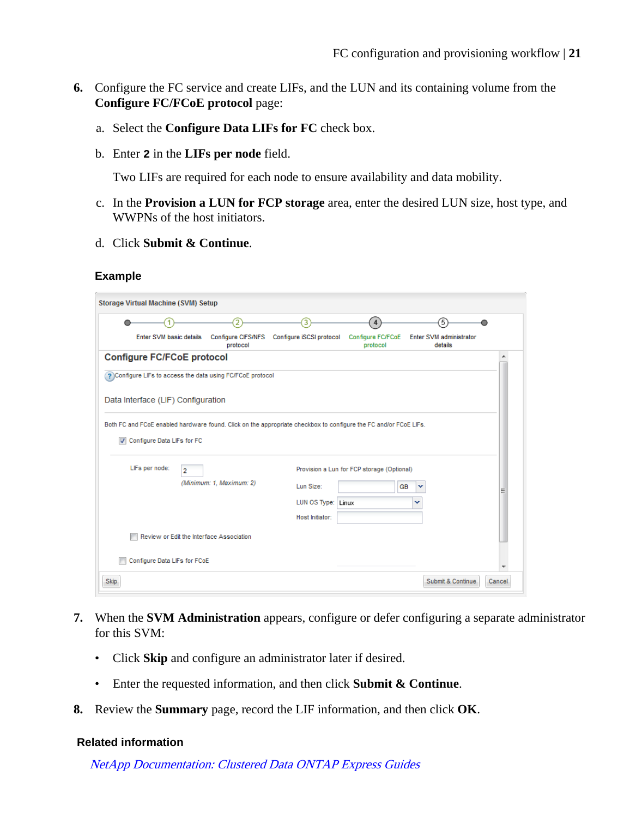- **6.** Configure the FC service and create LIFs, and the LUN and its containing volume from the **Configure FC/FCoE protocol** page:
	- a. Select the **Configure Data LIFs for FC** check box.
	- b. Enter **2** in the **LIFs per node** field.

Two LIFs are required for each node to ensure availability and data mobility.

- c. In the **Provision a LUN for FCP storage** area, enter the desired LUN size, host type, and WWPNs of the host initiators.
- d. Click **Submit & Continue**.

### **Example**

|                |                                    |                | 2                                                          | 3                                                                                                                | $\boldsymbol{\Lambda}$                     | 5                                  |  |
|----------------|------------------------------------|----------------|------------------------------------------------------------|------------------------------------------------------------------------------------------------------------------|--------------------------------------------|------------------------------------|--|
|                | Enter SVM basic details            |                | <b>Configure CIFS/NFS</b><br>protocol                      | Configure iSCSI protocol                                                                                         | <b>Configure FC/FCoE</b><br>protocol       | Enter SVM administrator<br>details |  |
|                | <b>Configure FC/FCoE protocol</b>  |                |                                                            |                                                                                                                  |                                            |                                    |  |
|                |                                    |                | ? Configure LIFs to access the data using FC/FCoE protocol |                                                                                                                  |                                            |                                    |  |
|                | Data Interface (LIF) Configuration |                |                                                            |                                                                                                                  |                                            |                                    |  |
|                |                                    |                |                                                            |                                                                                                                  |                                            |                                    |  |
|                |                                    |                |                                                            |                                                                                                                  |                                            |                                    |  |
|                |                                    |                |                                                            | Both FC and FCoE enabled hardware found. Click on the appropriate checkbox to configure the FC and/or FCoE LIFs. |                                            |                                    |  |
| $\overline{J}$ | Configure Data LIFs for FC         |                |                                                            |                                                                                                                  |                                            |                                    |  |
|                |                                    |                |                                                            |                                                                                                                  |                                            |                                    |  |
|                | LIFs per node:                     | $\overline{a}$ |                                                            |                                                                                                                  | Provision a Lun for FCP storage (Optional) |                                    |  |
|                |                                    |                | (Minimum: 1, Maximum: 2)                                   | Lun Size:                                                                                                        | <b>GB</b>                                  | v                                  |  |
|                |                                    |                |                                                            | LUN OS Type: Linux                                                                                               |                                            | v                                  |  |
|                |                                    |                |                                                            | Host Initiator:                                                                                                  |                                            |                                    |  |
|                |                                    |                | Review or Edit the Interface Association                   |                                                                                                                  |                                            |                                    |  |
|                | Configure Data LIFs for FCoE       |                |                                                            |                                                                                                                  |                                            |                                    |  |

- **7.** When the **SVM Administration** appears, configure or defer configuring a separate administrator for this SVM:
	- Click **Skip** and configure an administrator later if desired.
	- Enter the requested information, and then click **Submit & Continue**.
- **8.** Review the **Summary** page, record the LIF information, and then click **OK**.

### **Related information**

[NetApp Documentation: Clustered Data ONTAP Express Guides](http://mysupport.netapp.com/documentation/docweb/index.html?productID=61885)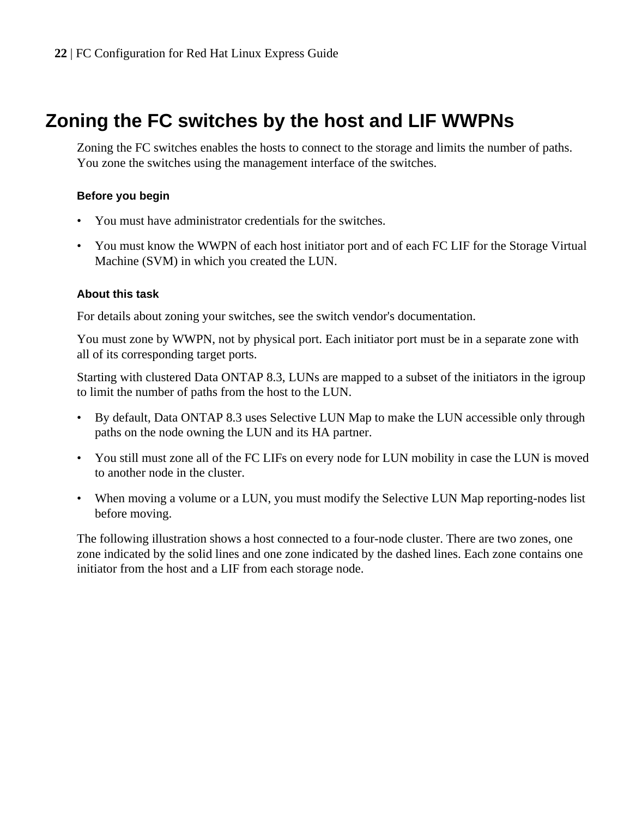# <span id="page-21-0"></span>**Zoning the FC switches by the host and LIF WWPNs**

Zoning the FC switches enables the hosts to connect to the storage and limits the number of paths. You zone the switches using the management interface of the switches.

## **Before you begin**

- You must have administrator credentials for the switches.
- You must know the WWPN of each host initiator port and of each FC LIF for the Storage Virtual Machine (SVM) in which you created the LUN.

## **About this task**

For details about zoning your switches, see the switch vendor's documentation.

You must zone by WWPN, not by physical port. Each initiator port must be in a separate zone with all of its corresponding target ports.

Starting with clustered Data ONTAP 8.3, LUNs are mapped to a subset of the initiators in the igroup to limit the number of paths from the host to the LUN.

- By default, Data ONTAP 8.3 uses Selective LUN Map to make the LUN accessible only through paths on the node owning the LUN and its HA partner.
- You still must zone all of the FC LIFs on every node for LUN mobility in case the LUN is moved to another node in the cluster.
- When moving a volume or a LUN, you must modify the Selective LUN Map reporting-nodes list before moving.

The following illustration shows a host connected to a four-node cluster. There are two zones, one zone indicated by the solid lines and one zone indicated by the dashed lines. Each zone contains one initiator from the host and a LIF from each storage node.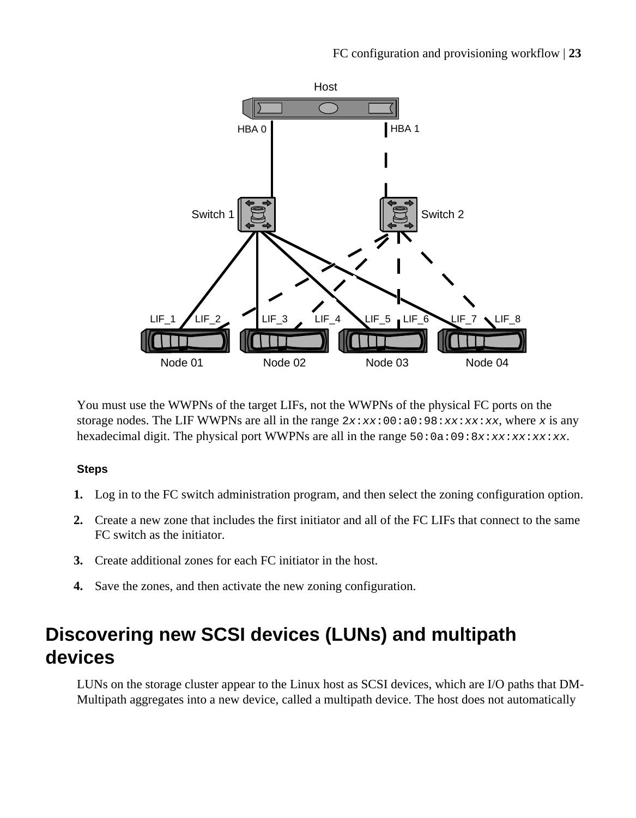<span id="page-22-0"></span>

You must use the WWPNs of the target LIFs, not the WWPNs of the physical FC ports on the storage nodes. The LIF WWPNs are all in the range  $2x:xx:00:a0:98:xx:xx:xx$ , where x is any hexadecimal digit. The physical port WWPNs are all in the range  $50:0a:09:8x:xx:xx:xx:x$ 

## **Steps**

- **1.** Log in to the FC switch administration program, and then select the zoning configuration option.
- **2.** Create a new zone that includes the first initiator and all of the FC LIFs that connect to the same FC switch as the initiator.
- **3.** Create additional zones for each FC initiator in the host.
- **4.** Save the zones, and then activate the new zoning configuration.

# **Discovering new SCSI devices (LUNs) and multipath devices**

LUNs on the storage cluster appear to the Linux host as SCSI devices, which are I/O paths that DM-Multipath aggregates into a new device, called a multipath device. The host does not automatically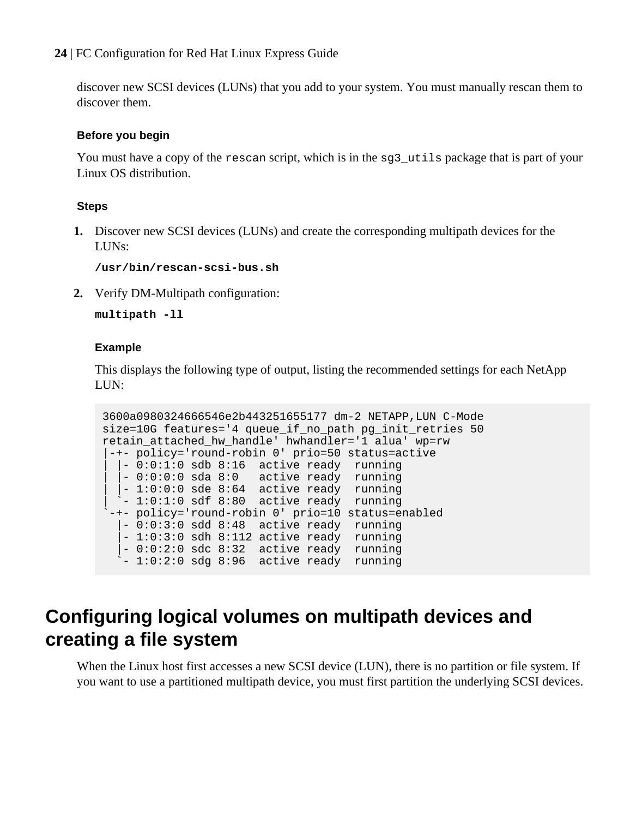<span id="page-23-0"></span>discover new SCSI devices (LUNs) that you add to your system. You must manually rescan them to discover them.

### **Before you begin**

You must have a copy of the rescan script, which is in the sq3\_utils package that is part of your Linux OS distribution.

## **Steps**

**1.** Discover new SCSI devices (LUNs) and create the corresponding multipath devices for the LUNs:

**/usr/bin/rescan-scsi-bus.sh**

**2.** Verify DM-Multipath configuration:

**multipath -ll**

### **Example**

This displays the following type of output, listing the recommended settings for each NetApp LUN:

```
3600a0980324666546e2b443251655177 dm-2 NETAPP,LUN C-Mode
size=10G features='4 queue_if_no_path pg_init_retries 50 
retain attached hw handle' hwhandler='1 alua' wp=rw
|-+- policy='round-robin 0' prio=50 status=active
  | |- 0:0:1:0 sdb 8:16 active ready running
  \vert -0:0:0:0 sda 8:0 active ready running
| |-1:0:0:0 sde 8:64 active ready running
| `- 1:0:1:0 sdf 8:80 active ready running
`-+- policy='round-robin 0' prio=10 status=enabled
   |- 0:0:3:0 sdd 8:48 active ready running
   |- 1:0:3:0 sdh 8:112 active ready running
 |- 0:0:2:0 sdc 8:32 active ready running
 `- 1:0:2:0 sdg 8:96 active ready running
```
# **Configuring logical volumes on multipath devices and creating a file system**

When the Linux host first accesses a new SCSI device (LUN), there is no partition or file system. If you want to use a partitioned multipath device, you must first partition the underlying SCSI devices.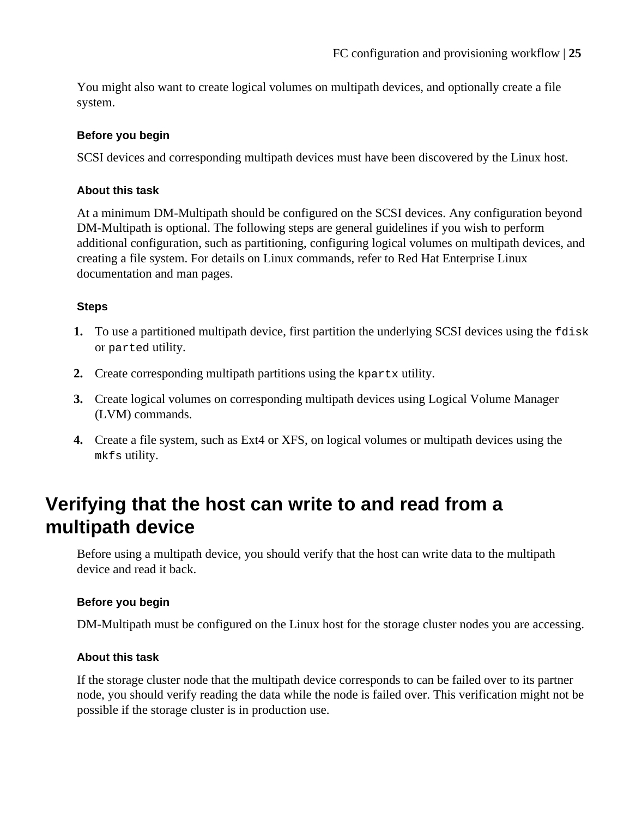<span id="page-24-0"></span>You might also want to create logical volumes on multipath devices, and optionally create a file system.

## **Before you begin**

SCSI devices and corresponding multipath devices must have been discovered by the Linux host.

## **About this task**

At a minimum DM-Multipath should be configured on the SCSI devices. Any configuration beyond DM-Multipath is optional. The following steps are general guidelines if you wish to perform additional configuration, such as partitioning, configuring logical volumes on multipath devices, and creating a file system. For details on Linux commands, refer to Red Hat Enterprise Linux documentation and man pages.

## **Steps**

- **1.** To use a partitioned multipath device, first partition the underlying SCSI devices using the fdisk or parted utility.
- **2.** Create corresponding multipath partitions using the kpartx utility.
- **3.** Create logical volumes on corresponding multipath devices using Logical Volume Manager (LVM) commands.
- **4.** Create a file system, such as Ext4 or XFS, on logical volumes or multipath devices using the mkfs utility.

# **Verifying that the host can write to and read from a multipath device**

Before using a multipath device, you should verify that the host can write data to the multipath device and read it back.

### **Before you begin**

DM-Multipath must be configured on the Linux host for the storage cluster nodes you are accessing.

## **About this task**

If the storage cluster node that the multipath device corresponds to can be failed over to its partner node, you should verify reading the data while the node is failed over. This verification might not be possible if the storage cluster is in production use.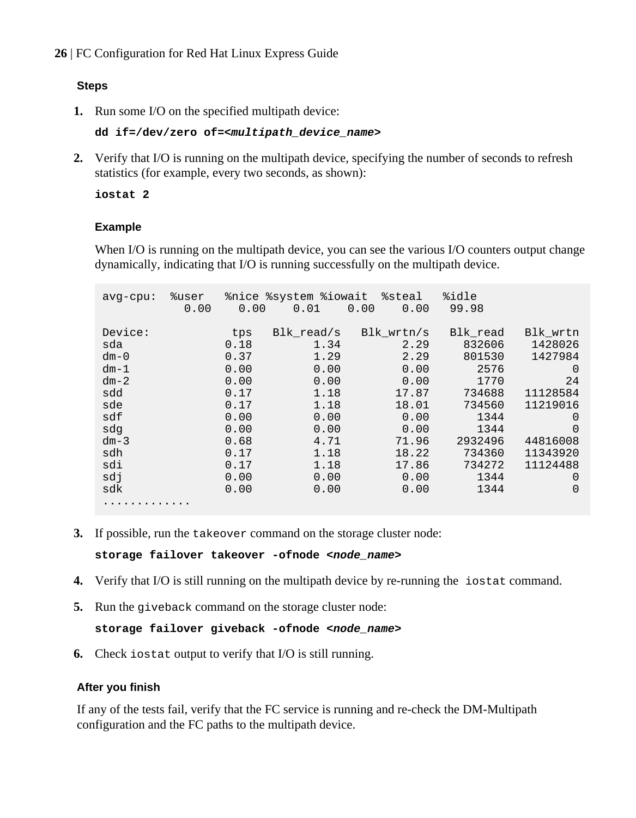## **Steps**

**1.** Run some I/O on the specified multipath device:

```
dd if=/dev/zero of=<multipath_device_name>
```
**2.** Verify that I/O is running on the multipath device, specifying the number of seconds to refresh statistics (for example, every two seconds, as shown):

**iostat 2**

## **Example**

When I/O is running on the multipath device, you can see the various I/O counters output change dynamically, indicating that I/O is running successfully on the multipath device.

| $avq$ -cpu:                                                                                                      | %user<br>0.00 | 0.00                                                                                                        | %nice %system %iowait<br>0.01                                                                                      | $\texttt{8}$ steal<br>0.00<br>0.00                                                                                         | %idle<br>99.98                                                                                                                  |                                                                                                                                                              |
|------------------------------------------------------------------------------------------------------------------|---------------|-------------------------------------------------------------------------------------------------------------|--------------------------------------------------------------------------------------------------------------------|----------------------------------------------------------------------------------------------------------------------------|---------------------------------------------------------------------------------------------------------------------------------|--------------------------------------------------------------------------------------------------------------------------------------------------------------|
| Device:<br>sda<br>$dm - 0$<br>$dm-1$<br>$dm-2$<br>sdd<br>sde<br>sdf<br>sdq<br>$dm-3$<br>sdh<br>sdi<br>sdi<br>sdk |               | tps<br>0.18<br>0.37<br>0.00<br>0.00<br>0.17<br>0.17<br>0.00<br>0.00<br>0.68<br>0.17<br>0.17<br>0.00<br>0.00 | Blk read/s<br>1.34<br>1.29<br>0.00<br>0.00<br>1.18<br>1.18<br>0.00<br>0.00<br>4.71<br>1.18<br>1.18<br>0.00<br>0.00 | Bl $k$ wrtn/s<br>2.29<br>2.29<br>0.00<br>0.00<br>17.87<br>18.01<br>0.00<br>0.00<br>71.96<br>18.22<br>17.86<br>0.00<br>0.00 | Blk read<br>832606<br>801530<br>2576<br>1770<br>734688<br>734560<br>1344<br>1344<br>2932496<br>734360<br>734272<br>1344<br>1344 | Blk wrtn<br>1428026<br>1427984<br>$\Omega$<br>24<br>11128584<br>11219016<br>$\Omega$<br>$\Omega$<br>44816008<br>11343920<br>11124488<br>$\Omega$<br>$\Omega$ |
| .                                                                                                                |               |                                                                                                             |                                                                                                                    |                                                                                                                            |                                                                                                                                 |                                                                                                                                                              |

**3.** If possible, run the takeover command on the storage cluster node:

**storage failover takeover -ofnode <node\_name>**

- **4.** Verify that I/O is still running on the multipath device by re-running the iostat command.
- **5.** Run the giveback command on the storage cluster node:

## **storage failover giveback -ofnode <node\_name>**

**6.** Check iostat output to verify that I/O is still running.

### **After you finish**

If any of the tests fail, verify that the FC service is running and re-check the DM-Multipath configuration and the FC paths to the multipath device.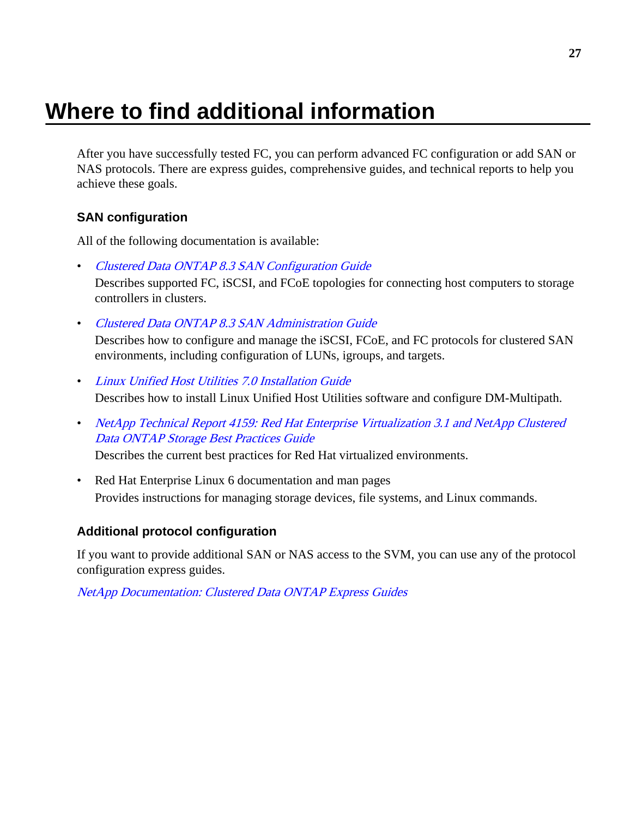# <span id="page-26-0"></span>**Where to find additional information**

After you have successfully tested FC, you can perform advanced FC configuration or add SAN or NAS protocols. There are express guides, comprehensive guides, and technical reports to help you achieve these goals.

## **SAN configuration**

All of the following documentation is available:

- [Clustered Data ONTAP 8.3 SAN Configuration Guide](https://library.netapp.com/ecm/ecm_download_file/ECMP1636036) Describes supported FC, iSCSI, and FCoE topologies for connecting host computers to storage controllers in clusters.
- [Clustered Data ONTAP 8.3 SAN Administration Guide](https://library.netapp.com/ecm/ecm_download_file/ECMP1636035)

Describes how to configure and manage the iSCSI, FCoE, and FC protocols for clustered SAN environments, including configuration of LUNs, igroups, and targets.

- [Linux Unified Host Utilities 7.0 Installation Guide](https://library.netapp.com/ecm/ecm_download_file/ECMP1654941) Describes how to install Linux Unified Host Utilities software and configure DM-Multipath.
- [NetApp Technical Report 4159: Red Hat Enterprise Virtualization 3.1 and NetApp Clustered](http://www.netapp.com/us/media/tr-4159.pdf) [Data ONTAP Storage Best Practices Guide](http://www.netapp.com/us/media/tr-4159.pdf)

Describes the current best practices for Red Hat virtualized environments.

• Red Hat Enterprise Linux 6 documentation and man pages Provides instructions for managing storage devices, file systems, and Linux commands.

## **Additional protocol configuration**

If you want to provide additional SAN or NAS access to the SVM, you can use any of the protocol configuration express guides.

[NetApp Documentation: Clustered Data ONTAP Express Guides](http://mysupport.netapp.com/documentation/docweb/index.html?productID=61885)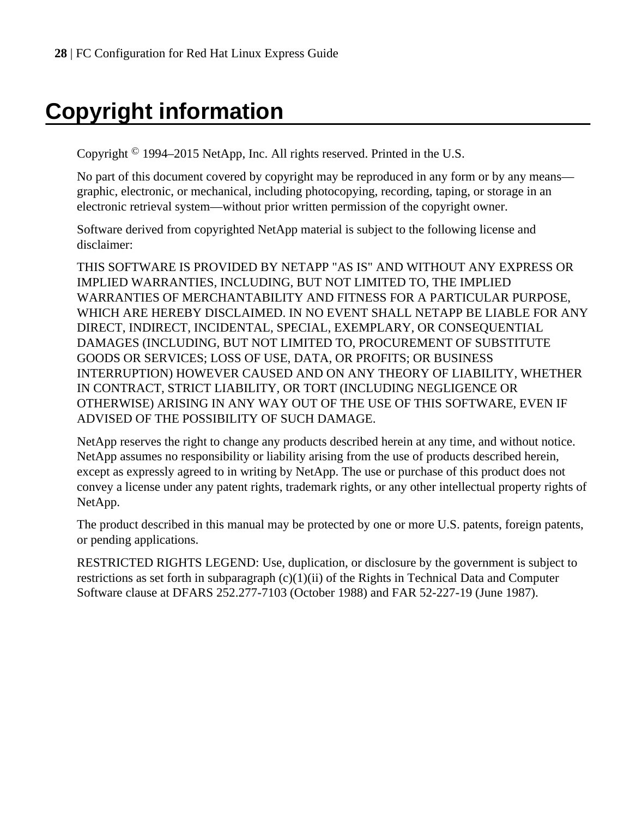# <span id="page-27-0"></span>**Copyright information**

Copyright © 1994–2015 NetApp, Inc. All rights reserved. Printed in the U.S.

No part of this document covered by copyright may be reproduced in any form or by any means graphic, electronic, or mechanical, including photocopying, recording, taping, or storage in an electronic retrieval system—without prior written permission of the copyright owner.

Software derived from copyrighted NetApp material is subject to the following license and disclaimer:

THIS SOFTWARE IS PROVIDED BY NETAPP "AS IS" AND WITHOUT ANY EXPRESS OR IMPLIED WARRANTIES, INCLUDING, BUT NOT LIMITED TO, THE IMPLIED WARRANTIES OF MERCHANTABILITY AND FITNESS FOR A PARTICULAR PURPOSE, WHICH ARE HEREBY DISCLAIMED. IN NO EVENT SHALL NETAPP BE LIABLE FOR ANY DIRECT, INDIRECT, INCIDENTAL, SPECIAL, EXEMPLARY, OR CONSEQUENTIAL DAMAGES (INCLUDING, BUT NOT LIMITED TO, PROCUREMENT OF SUBSTITUTE GOODS OR SERVICES; LOSS OF USE, DATA, OR PROFITS; OR BUSINESS INTERRUPTION) HOWEVER CAUSED AND ON ANY THEORY OF LIABILITY, WHETHER IN CONTRACT, STRICT LIABILITY, OR TORT (INCLUDING NEGLIGENCE OR OTHERWISE) ARISING IN ANY WAY OUT OF THE USE OF THIS SOFTWARE, EVEN IF ADVISED OF THE POSSIBILITY OF SUCH DAMAGE.

NetApp reserves the right to change any products described herein at any time, and without notice. NetApp assumes no responsibility or liability arising from the use of products described herein, except as expressly agreed to in writing by NetApp. The use or purchase of this product does not convey a license under any patent rights, trademark rights, or any other intellectual property rights of NetApp.

The product described in this manual may be protected by one or more U.S. patents, foreign patents, or pending applications.

RESTRICTED RIGHTS LEGEND: Use, duplication, or disclosure by the government is subject to restrictions as set forth in subparagraph  $(c)(1)(ii)$  of the Rights in Technical Data and Computer Software clause at DFARS 252.277-7103 (October 1988) and FAR 52-227-19 (June 1987).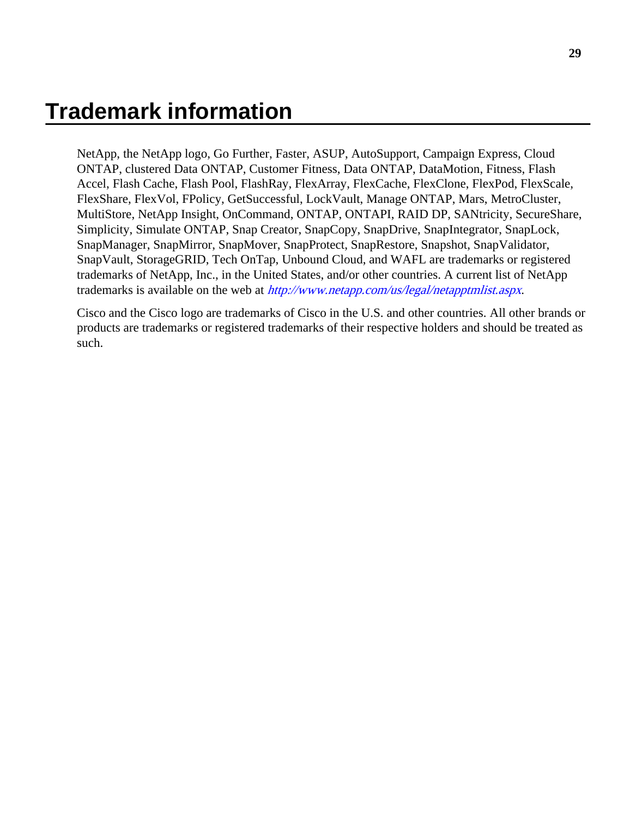# <span id="page-28-0"></span>**Trademark information**

NetApp, the NetApp logo, Go Further, Faster, ASUP, AutoSupport, Campaign Express, Cloud ONTAP, clustered Data ONTAP, Customer Fitness, Data ONTAP, DataMotion, Fitness, Flash Accel, Flash Cache, Flash Pool, FlashRay, FlexArray, FlexCache, FlexClone, FlexPod, FlexScale, FlexShare, FlexVol, FPolicy, GetSuccessful, LockVault, Manage ONTAP, Mars, MetroCluster, MultiStore, NetApp Insight, OnCommand, ONTAP, ONTAPI, RAID DP, SANtricity, SecureShare, Simplicity, Simulate ONTAP, Snap Creator, SnapCopy, SnapDrive, SnapIntegrator, SnapLock, SnapManager, SnapMirror, SnapMover, SnapProtect, SnapRestore, Snapshot, SnapValidator, SnapVault, StorageGRID, Tech OnTap, Unbound Cloud, and WAFL are trademarks or registered trademarks of NetApp, Inc., in the United States, and/or other countries. A current list of NetApp trademarks is available on the web at <http://www.netapp.com/us/legal/netapptmlist.aspx>.

Cisco and the Cisco logo are trademarks of Cisco in the U.S. and other countries. All other brands or products are trademarks or registered trademarks of their respective holders and should be treated as such.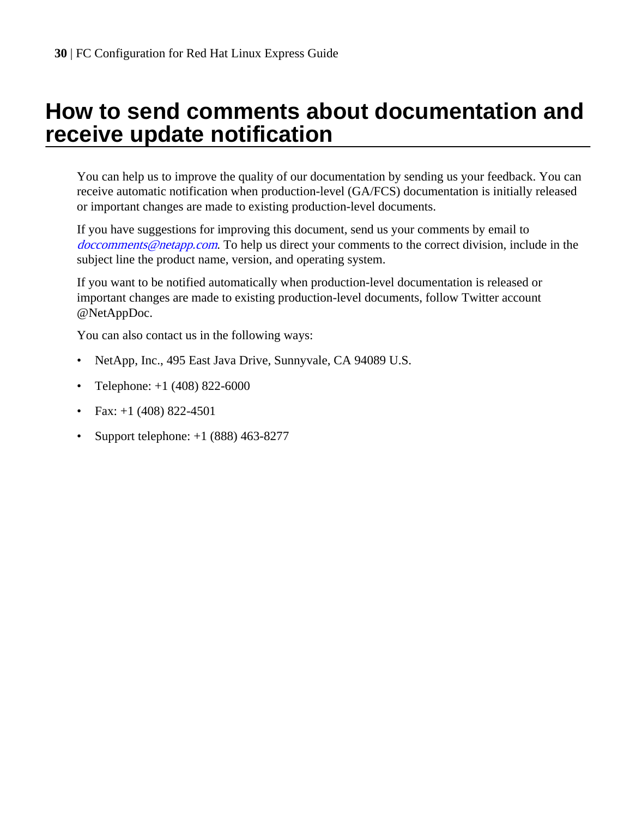# <span id="page-29-0"></span>**How to send comments about documentation and receive update notification**

You can help us to improve the quality of our documentation by sending us your feedback. You can receive automatic notification when production-level (GA/FCS) documentation is initially released or important changes are made to existing production-level documents.

If you have suggestions for improving this document, send us your comments by email to [doccomments@netapp.com](mailto:doccomments@netapp.com). To help us direct your comments to the correct division, include in the subject line the product name, version, and operating system.

If you want to be notified automatically when production-level documentation is released or important changes are made to existing production-level documents, follow Twitter account @NetAppDoc.

You can also contact us in the following ways:

- NetApp, Inc., 495 East Java Drive, Sunnyvale, CA 94089 U.S.
- Telephone:  $+1$  (408) 822-6000
- Fax:  $+1$  (408) 822-4501
- Support telephone:  $+1$  (888) 463-8277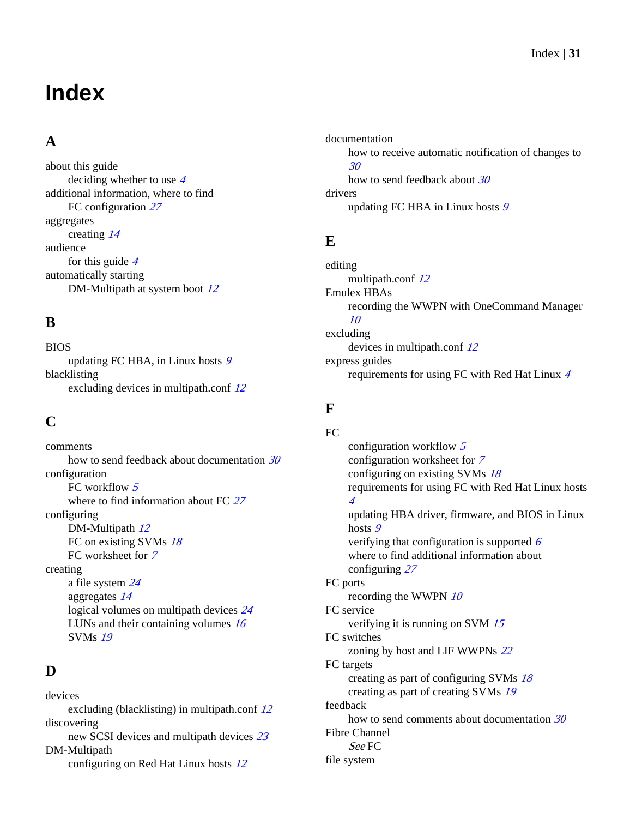# <span id="page-30-0"></span>**Index**

## **A**

about this guide deciding whether to use [4](#page-3-0) additional information, where to find FC configuration [27](#page-26-0) aggregates creating [14](#page-13-0) audience for this guide  $4$ automatically starting DM-Multipath at system boot [12](#page-11-0)

## **B**

BIOS updating FC HBA, in Linux hosts [9](#page-8-0) blacklisting excluding devices in multipath.conf  $12$ 

## **C**

comments how to send feedback about documentation [30](#page-29-0) configuration FC workflow [5](#page-4-0) where to find information about FC [27](#page-26-0) configuring DM-Multipath  $12$ FC on existing SVMs  $18$ FC worksheet for [7](#page-6-0) creating a file system [24](#page-23-0) aggregates [14](#page-13-0) logical volumes on multipath devices [24](#page-23-0) LUNs and their containing volumes [16](#page-15-0) SVMs [19](#page-18-0)

## **D**

devices excluding (blacklisting) in multipath.conf [12](#page-11-0) discovering new SCSI devices and multipath devices [23](#page-22-0) DM-Multipath configuring on Red Hat Linux hosts [12](#page-11-0)

documentation how to receive automatic notification of changes to [30](#page-29-0) how to send feedback about [30](#page-29-0) drivers updating FC HBA in Linux hosts [9](#page-8-0)

## **E**

editing multipath.conf [12](#page-11-0) Emulex HBAs recording the WWPN with OneCommand Manager [10](#page-9-0) excluding devices in multipath.conf [12](#page-11-0) express guides requirements for using FC with Red Hat Linux [4](#page-3-0)

## **F**

FC configuration workflow  $5$ configuration worksheet for [7](#page-6-0) configuring on existing SVMs [18](#page-17-0) requirements for using FC with Red Hat Linux hosts [4](#page-3-0) updating HBA driver, firmware, and BIOS in Linux hosts [9](#page-8-0) verifying that configuration is supported  $6$ where to find additional information about configuring [27](#page-26-0) FC ports recording the WWPN  $10$ FC service verifying it is running on SVM [15](#page-14-0) FC switches zoning by host and LIF WWPNs [22](#page-21-0) FC targets creating as part of configuring SVMs [18](#page-17-0) creating as part of creating SVMs [19](#page-18-0) feedback how to send comments about documentation [30](#page-29-0) Fibre Channel See FC file system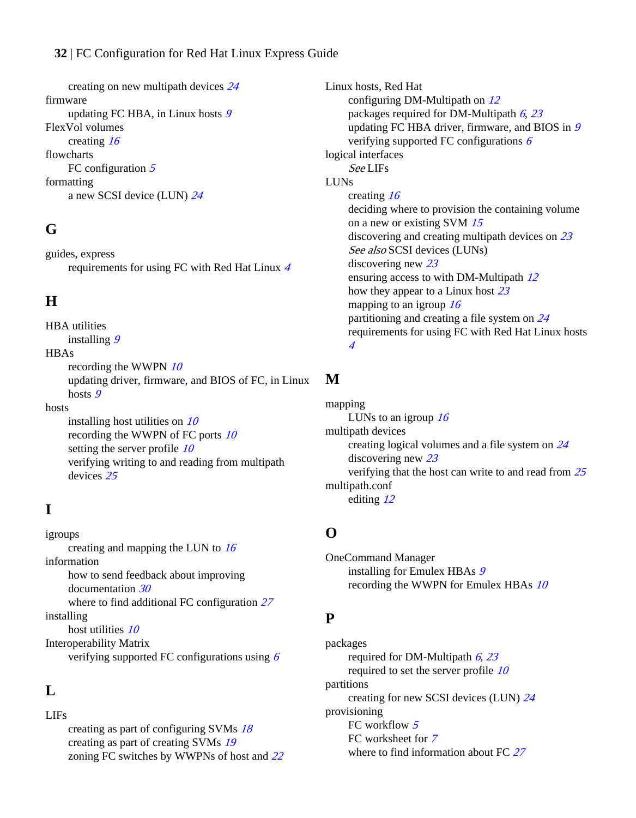<span id="page-31-0"></span>creating on new multipath devices [24](#page-23-0) firmware updating FC HBA, in Linux hosts [9](#page-8-0) FlexVol volumes creating [16](#page-15-0) flowcharts FC configuration  $5$ formatting a new SCSI device (LUN) [24](#page-23-0)

## **G**

guides, express requirements for using FC with Red Hat Linux [4](#page-3-0)

## **H**

HBA utilities installing [9](#page-8-0) **HBAs** recording the WWPN  $10$ updating driver, firmware, and BIOS of FC, in Linux hosts [9](#page-8-0) hosts installing host utilities on  $10$ recording the WWPN of FC ports [10](#page-9-0) setting the server profile  $10$ verifying writing to and reading from multipath devices [25](#page-24-0)

## **I**

igroups creating and mapping the LUN to  $16$ information how to send feedback about improving documentation [30](#page-29-0) where to find additional FC configuration [27](#page-26-0) installing host utilities [10](#page-9-0) Interoperability Matrix verifying supported FC configurations using  $6$ 

## **L**

LIFs

creating as part of configuring SVMs [18](#page-17-0) creating as part of creating SVMs [19](#page-18-0) zoning FC switches by WWPNs of host and [22](#page-21-0) Linux hosts, Red Hat configuring DM-Multipath on [12](#page-11-0) packages required for DM-Multipath  $6, 23$  $6, 23$  $6, 23$ updating FC HBA driver, firmware, and BIOS in [9](#page-8-0) verifying supported FC configurations  $6$ logical interfaces See LIFs LUNs creating [16](#page-15-0) deciding where to provision the containing volume on a new or existing SVM [15](#page-14-0) discovering and creating multipath devices on [23](#page-22-0) See also [SCSI devices \(LUNs\)](#page-32-0) discovering new [23](#page-22-0) ensuring access to with DM-Multipath [12](#page-11-0) how they appear to a Linux host [23](#page-22-0) mapping to an igroup  $16$ partitioning and creating a file system on [24](#page-23-0) requirements for using FC with Red Hat Linux hosts [4](#page-3-0)

# **M**

mapping LUNs to an igroup  $16$ multipath devices creating logical volumes and a file system on [24](#page-23-0) discovering new [23](#page-22-0) verifying that the host can write to and read from [25](#page-24-0) multipath.conf editing [12](#page-11-0)

## **O**

OneCommand Manager installing for Emulex HBAs [9](#page-8-0) recording the WWPN for Emulex HBAs [10](#page-9-0)

## **P**

packages required for DM-Multipath  $6, 23$  $6, 23$  $6, 23$ required to set the server profile [10](#page-9-0) partitions creating for new SCSI devices (LUN) [24](#page-23-0) provisioning FC workflow [5](#page-4-0) FC worksheet for [7](#page-6-0) where to find information about FC [27](#page-26-0)